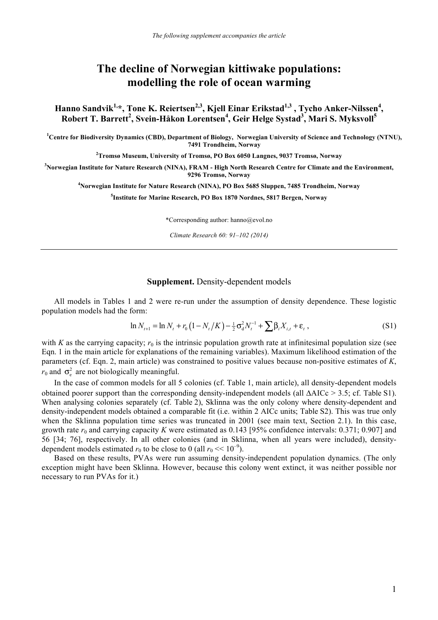## **The decline of Norwegian kittiwake populations: modelling the role of ocean warming**

Hanno Sandvik<sup>1,</sup>\*, Tone K. Reiertsen<sup>2,3</sup>, Kjell Einar Erikstad<sup>1,3</sup> , Tycho Anker-Nilssen<sup>4</sup>, **Robert T. Barrett<sup>2</sup> , Svein-Håkon Lorentsen<sup>4</sup> , Geir Helge Systad<sup>3</sup> , Mari S. Myksvoll5**

<sup>1</sup> Centre for Biodiversity Dynamics (CBD), Department of Biology, Norwegian University of Science and Technology (NTNU), **7491 Trondheim, Norway**

**2 Tromsø Museum, University of Tromsø, PO Box 6050 Langnes, 9037 Tromsø, Norway**

**3 Norwegian Institute for Nature Research (NINA), FRAM - High North Research Centre for Climate and the Environment, 9296 Tromsø, Norway**

**4 Norwegian Institute for Nature Research (NINA), PO Box 5685 Sluppen, 7485 Trondheim, Norway**

**5 Institute for Marine Research, PO Box 1870 Nordnes, 5817 Bergen, Norway**

\*Corresponding author: hanno@evol.no

*Climate Research 60: 91–102 (2014)*

## **Supplement.** Density-dependent models

All models in Tables 1 and 2 were re-run under the assumption of density dependence. These logistic population models had the form:

$$
\ln N_{t+1} = \ln N_t + r_0 \left( 1 - N_t / K \right) - \frac{1}{2} \sigma_d^2 N_t^{-1} + \sum_j \beta_i X_{i,t} + \varepsilon_t \,, \tag{S1}
$$

with *K* as the carrying capacity;  $r_0$  is the intrinsic population growth rate at infinitesimal population size (see Eqn. 1 in the main article for explanations of the remaining variables). Maximum likelihood estimation of the parameters (cf. Eqn. 2, main article) was constrained to positive values because non-positive estimates of *K*,  $r_0$  and  $\sigma_s^2$  are not biologically meaningful.

In the case of common models for all 5 colonies (cf. Table 1, main article), all density-dependent models obtained poorer support than the corresponding density-independent models (all ΔAICc > 3.5; cf. Table S1). When analysing colonies separately (cf. Table 2), Sklinna was the only colony where density-dependent and density-independent models obtained a comparable fit (i.e. within 2 AICc units; Table S2). This was true only when the Sklinna population time series was truncated in 2001 (see main text, Section 2.1). In this case, growth rate  $r_0$  and carrying capacity *K* were estimated as 0.143 [95% confidence intervals: 0.371; 0.907] and 56 [34; 76], respectively. In all other colonies (and in Sklinna, when all years were included), densitydependent models estimated  $r_0$  to be close to 0 (all  $r_0 \ll 10^{-9}$ ).

Based on these results, PVAs were run assuming density-independent population dynamics. (The only exception might have been Sklinna. However, because this colony went extinct, it was neither possible nor necessary to run PVAs for it.)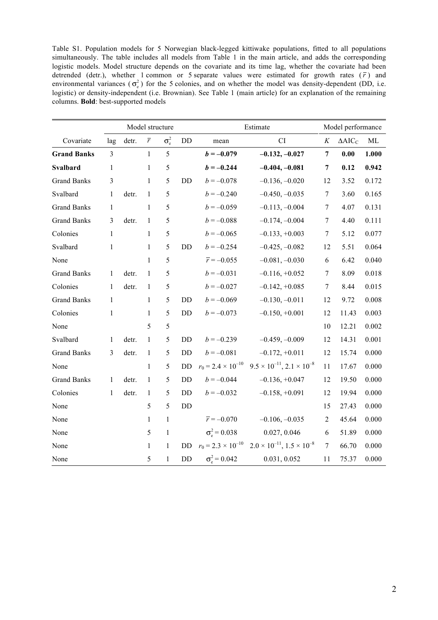Table S1. Population models for 5 Norwegian black-legged kittiwake populations, fitted to all populations simultaneously. The table includes all models from Table 1 in the main article, and adds the corresponding logistic models. Model structure depends on the covariate and its time lag, whether the covariate had been detrended (detr.), whether 1 common or 5 separate values were estimated for growth rates  $(\bar{r})$  and environmental variances  $(\sigma_e^2)$  for the 5 colonies, and on whether the model was density-dependent (DD, i.e. logistic) or density-independent (i.e. Brownian). See Table 1 (main article) for an explanation of the remaining columns. **Bold**: best-supported models

|                    | Model structure |       |                |                    |           | Estimate                   |                                                                          |                  | Model performance |          |  |
|--------------------|-----------------|-------|----------------|--------------------|-----------|----------------------------|--------------------------------------------------------------------------|------------------|-------------------|----------|--|
| Covariate          | lag             | detr. | $\overline{r}$ | $\sigma_{\rm e}^2$ | DD        | CI<br>mean                 |                                                                          | $\cal K$         | $\triangle AIC_C$ | $\rm ML$ |  |
| <b>Grand Banks</b> | $\overline{3}$  |       | $\mathbf{1}$   | 5                  |           | $b = -0.079$               | $-0.132, -0.027$                                                         | $\boldsymbol{7}$ | 0.00              | 1.000    |  |
| <b>Svalbard</b>    | $\mathbf{1}$    |       | $\mathbf{1}$   | 5                  |           | $b = -0.244$               | $-0.404, -0.081$                                                         | $\boldsymbol{7}$ | 0.12              | 0.942    |  |
| <b>Grand Banks</b> | 3               |       | $\mathbf{1}$   | 5                  | DD        | $b = -0.078$               | $-0.136, -0.020$                                                         | 12               | 3.52              | 0.172    |  |
| Svalbard           | $\mathbf{1}$    | detr. | 1              | 5                  |           | $b = -0.240$               | $-0.450, -0.035$                                                         | $\boldsymbol{7}$ | 3.60              | 0.165    |  |
| <b>Grand Banks</b> | 1               |       | 1              | 5                  |           | $b = -0.059$               | $-0.113, -0.004$                                                         | $\tau$           | 4.07              | 0.131    |  |
| <b>Grand Banks</b> | $\overline{3}$  | detr. | $\mathbf{1}$   | 5                  |           | $b = -0.088$               | $-0.174, -0.004$                                                         | $\boldsymbol{7}$ | 4.40              | 0.111    |  |
| Colonies           | $\mathbf{1}$    |       | 1              | 5                  |           | $b = -0.065$               | $-0.133, +0.003$                                                         | $\tau$           | 5.12              | 0.077    |  |
| Svalbard           | $\mathbf{1}$    |       | 1              | 5                  | DD        | $b = -0.254$               | $-0.425, -0.082$                                                         | 12               | 5.51              | 0.064    |  |
| None               |                 |       | $\mathbf{1}$   | 5                  |           | $\bar{r} = -0.055$         | $-0.081, -0.030$                                                         | 6                | 6.42              | 0.040    |  |
| <b>Grand Banks</b> | 1               | detr. | $\mathbf{1}$   | 5                  |           | $b = -0.031$               | $-0.116, +0.052$                                                         | $\boldsymbol{7}$ | 8.09              | 0.018    |  |
| Colonies           | $\mathbf{1}$    | detr. | 1              | $\sqrt{5}$         |           | $b = -0.027$               | $-0.142, +0.085$                                                         | $\tau$           | 8.44              | 0.015    |  |
| <b>Grand Banks</b> | $\mathbf{1}$    |       | 1              | 5                  | DD        | $b = -0.069$               | $-0.130, -0.011$                                                         | 12               | 9.72              | 0.008    |  |
| Colonies           | $\mathbf{1}$    |       | $\mathbf{1}$   | 5                  | $\rm{DD}$ | $b = -0.073$               | $-0.150, +0.001$                                                         | 12               | 11.43             | 0.003    |  |
| None               |                 |       | 5              | 5                  |           |                            |                                                                          | 10               | 12.21             | 0.002    |  |
| Svalbard           | 1               | detr. | $\mathbf{1}$   | 5                  | <b>DD</b> | $b = -0.239$               | $-0.459, -0.009$                                                         | 12               | 14.31             | 0.001    |  |
| <b>Grand Banks</b> | 3               | detr. | $\mathbf{1}$   | 5                  | DD        | $b = -0.081$               | $-0.172, +0.011$                                                         | 12               | 15.74             | 0.000    |  |
| None               |                 |       | $\mathbf{1}$   | 5                  | DD        |                            | $r_0 = 2.4 \times 10^{-10}$ $9.5 \times 10^{-11}$ , $2.1 \times 10^{-8}$ | 11               | 17.67             | 0.000    |  |
| <b>Grand Banks</b> | 1               | detr. | $\mathbf{1}$   | 5                  | DD        | $b = -0.044$               | $-0.136, +0.047$                                                         | 12               | 19.50             | 0.000    |  |
| Colonies           | 1               | detr. | 1              | 5                  | DD        | $b = -0.032$               | $-0.158, +0.091$                                                         | 12               | 19.94             | 0.000    |  |
| None               |                 |       | 5              | 5                  | DD        |                            |                                                                          | 15               | 27.43             | 0.000    |  |
| None               |                 |       | $\mathbf{1}$   | $\mathbf{1}$       |           | $\bar{r} = -0.070$         | $-0.106, -0.035$                                                         | $\overline{2}$   | 45.64             | 0.000    |  |
| None               |                 |       | 5              | $\mathbf{1}$       |           | $\sigma_{\rm e}^2$ = 0.038 | 0.027, 0.046                                                             | 6                | 51.89             | 0.000    |  |
| None               |                 |       | $\mathbf{1}$   | $\mathbf{1}$       | DD        |                            | $r_0 = 2.3 \times 10^{-10}$ $2.0 \times 10^{-11}$ , $1.5 \times 10^{-8}$ | $\overline{7}$   | 66.70             | 0.000    |  |
| None               |                 |       | 5              | 1                  | DD        | $\sigma_{\rm e}^2$ = 0.042 | 0.031, 0.052                                                             | 11               | 75.37             | 0.000    |  |